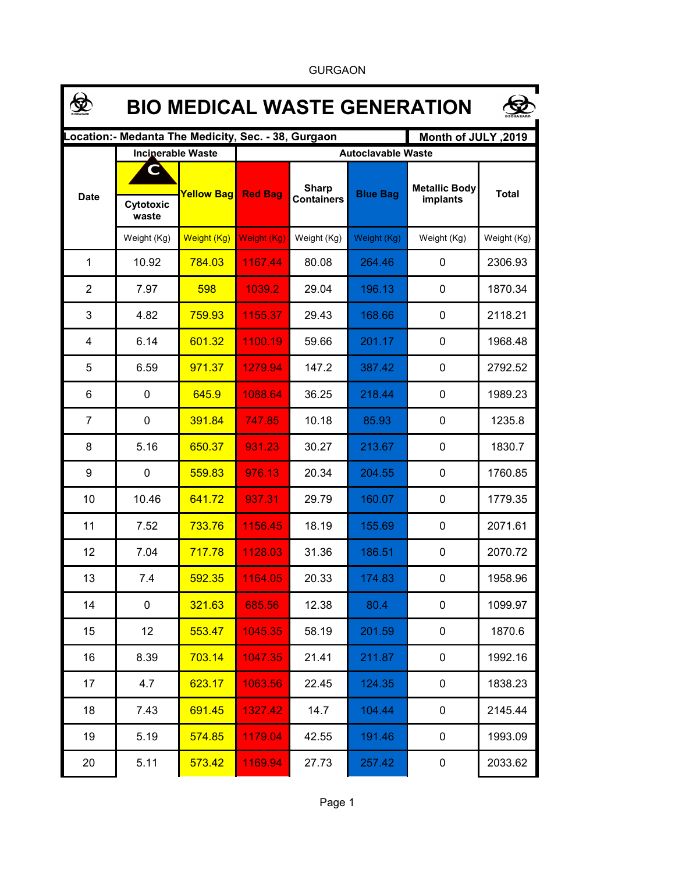|                | <b>BIO MEDICAL WASTE GENERATION</b> |                                  |                                                     |                                   |                                              |                                  |              |  |  |  |  |
|----------------|-------------------------------------|----------------------------------|-----------------------------------------------------|-----------------------------------|----------------------------------------------|----------------------------------|--------------|--|--|--|--|
|                |                                     |                                  | Location:- Medanta The Medicity, Sec. - 38, Gurgaon |                                   |                                              | Month of JULY, 2019              |              |  |  |  |  |
| <b>Date</b>    | <b>Inciperable Waste</b>            | <b>Yellow Bag</b><br>Weight (Kg) | <b>Red Bag</b>                                      | <b>Sharp</b><br><b>Containers</b> | <b>Autoclavable Waste</b><br><b>Blue Bag</b> | <b>Metallic Body</b><br>implants | <b>Total</b> |  |  |  |  |
|                | Cytotoxic                           |                                  |                                                     |                                   |                                              |                                  |              |  |  |  |  |
|                | waste<br>Weight (Kg)                |                                  | <b>Weight (Kg)</b>                                  | Weight (Kg)                       | Weight (Kg)                                  |                                  | Weight (Kg)  |  |  |  |  |
|                |                                     |                                  |                                                     |                                   |                                              | Weight (Kg)                      |              |  |  |  |  |
| 1              | 10.92                               | 784.03                           | 1167.44                                             | 80.08                             | 264.46                                       | 0                                | 2306.93      |  |  |  |  |
| $\overline{2}$ | 7.97                                | 598                              | 1039.2                                              | 29.04                             | 196.13                                       | 0                                | 1870.34      |  |  |  |  |
| 3              | 4.82                                | 759.93                           | 1155.37                                             | 29.43                             | 168.66                                       | 0                                | 2118.21      |  |  |  |  |
| 4              | 6.14                                | 601.32                           | 1100.19                                             | 59.66                             | 201.17                                       | 0                                | 1968.48      |  |  |  |  |
| 5              | 6.59                                | 971.37                           | 1279.94                                             | 147.2                             | 387.42                                       | 0                                | 2792.52      |  |  |  |  |
| 6              | 0                                   | 645.9                            | 1088.64                                             | 36.25                             | 218.44                                       | 0                                | 1989.23      |  |  |  |  |
| $\overline{7}$ | $\mathbf 0$                         | 391.84                           | 747.85                                              | 10.18                             | 85.93                                        | 0                                | 1235.8       |  |  |  |  |
| 8              | 5.16                                | 650.37                           | 931.23                                              | 30.27                             | 213.67                                       | 0                                | 1830.7       |  |  |  |  |
| 9              | $\mathbf 0$                         | 559.83                           | 976.13                                              | 20.34                             | 204.55                                       | 0                                | 1760.85      |  |  |  |  |
| 10             | 10.46                               | 641.72                           | 937.31                                              | 29.79                             | 160.07                                       | 0                                | 1779.35      |  |  |  |  |
| 11             | 7.52                                | 733.76                           | 1156.45                                             | 18.19                             | 155.69                                       | 0                                | 2071.61      |  |  |  |  |
| 12             | 7.04                                | 717.78                           | 1128.03                                             | 31.36                             | 186.51                                       | 0                                | 2070.72      |  |  |  |  |
| 13             | 7.4                                 | 592.35                           | 1164.05                                             | 20.33                             | 174.83                                       | 0                                | 1958.96      |  |  |  |  |
| 14             | $\pmb{0}$                           | 321.63                           | 685.56                                              | 12.38                             | 80.4                                         | 0                                | 1099.97      |  |  |  |  |
| 15             | 12                                  | 553.47                           | 1045.35                                             | 58.19                             | 201.59                                       | 0                                | 1870.6       |  |  |  |  |
| 16             | 8.39                                | 703.14                           | 1047.35                                             | 21.41                             | 211.87                                       | 0                                | 1992.16      |  |  |  |  |
| 17             | 4.7                                 | 623.17                           | 1063.56                                             | 22.45                             | 124.35                                       | 0                                | 1838.23      |  |  |  |  |
| 18             | 7.43                                | 691.45                           | 1327.42                                             | 14.7                              | 104.44                                       | 0                                | 2145.44      |  |  |  |  |
| 19             | 5.19                                | 574.85                           | 1179.04                                             | 42.55                             | 191.46                                       | 0                                | 1993.09      |  |  |  |  |
| 20             | 5.11                                | 573.42                           | 1169.94                                             | 27.73                             | 257.42                                       | 0                                | 2033.62      |  |  |  |  |